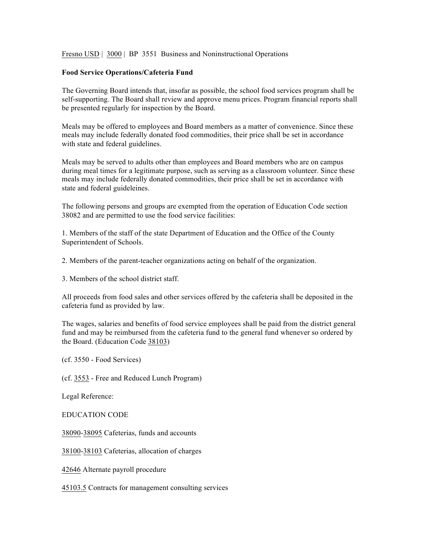Fresno USD | 3000 | BP 3551 Business and Noninstructional Operations

## **Food Service Operations/Cafeteria Fund**

The Governing Board intends that, insofar as possible, the school food services program shall be self-supporting. The Board shall review and approve menu prices. Program financial reports shall be presented regularly for inspection by the Board.

Meals may be offered to employees and Board members as a matter of convenience. Since these meals may include federally donated food commodities, their price shall be set in accordance with state and federal guidelines.

Meals may be served to adults other than employees and Board members who are on campus during meal times for a legitimate purpose, such as serving as a classroom volunteer. Since these meals may include federally donated commodities, their price shall be set in accordance with state and federal guideleines.

The following persons and groups are exempted from the operation of Education Code section 38082 and are permitted to use the food service facilities:

1. Members of the staff of the state Department of Education and the Office of the County Superintendent of Schools.

2. Members of the parent-teacher organizations acting on behalf of the organization.

3. Members of the school district staff.

All proceeds from food sales and other services offered by the cafeteria shall be deposited in the cafeteria fund as provided by law.

The wages, salaries and benefits of food service employees shall be paid from the district general fund and may be reimbursed from the cafeteria fund to the general fund whenever so ordered by the Board. (Education Code 38103)

(cf. 3550 - Food Services)

(cf. 3553 - Free and Reduced Lunch Program)

Legal Reference:

EDUCATION CODE

38090-38095 Cafeterias, funds and accounts

38100-38103 Cafeterias, allocation of charges

42646 Alternate payroll procedure

45103.5 Contracts for management consulting services